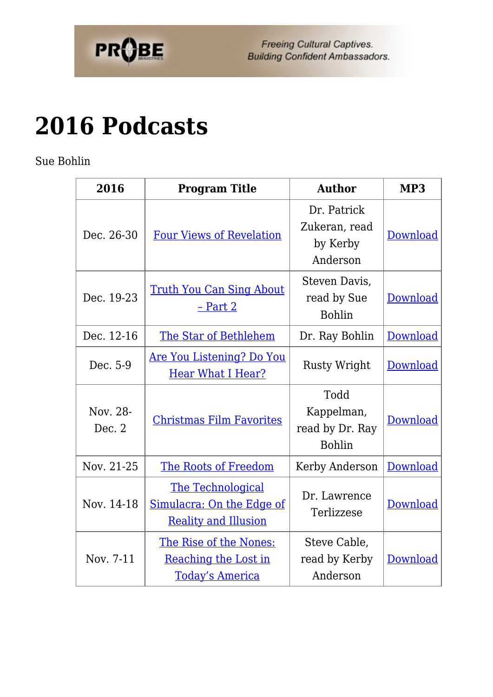

Freeing Cultural Captives. **Building Confident Ambassadors.** 

## **[2016 Podcasts](https://probe.org/2016-podcasts/)**

Sue Bohlin

| 2016               | <b>Program Title</b>                                                          | <b>Author</b>                                          | MP3             |
|--------------------|-------------------------------------------------------------------------------|--------------------------------------------------------|-----------------|
| Dec. 26-30         | <b>Four Views of Revelation</b>                                               | Dr. Patrick<br>Zukeran, read<br>by Kerby<br>Anderson   | Download        |
| Dec. 19-23         | <u>Truth You Can Sing About</u><br>$-$ Part 2                                 | Steven Davis,<br>read by Sue<br><b>Bohlin</b>          | <b>Download</b> |
| Dec. 12-16         | The Star of Bethlehem                                                         | Dr. Ray Bohlin                                         | Download        |
| Dec. 5-9           | <u>Are You Listening? Do You</u><br><b>Hear What I Hear?</b>                  | <b>Rusty Wright</b>                                    | Download        |
| Nov. 28-<br>Dec. 2 | <b>Christmas Film Favorites</b>                                               | Todd<br>Kappelman,<br>read by Dr. Ray<br><b>Bohlin</b> | Download        |
| Nov. 21-25         | The Roots of Freedom                                                          | Kerby Anderson                                         | <b>Download</b> |
| Nov. 14-18         | The Technological<br>Simulacra: On the Edge of<br><b>Reality and Illusion</b> | Dr. Lawrence<br>Terlizzese                             | Download        |
| Nov. 7-11          | The Rise of the Nones:<br>Reaching the Lost in<br><b>Today's America</b>      | Steve Cable,<br>read by Kerby<br>Anderson              | Download        |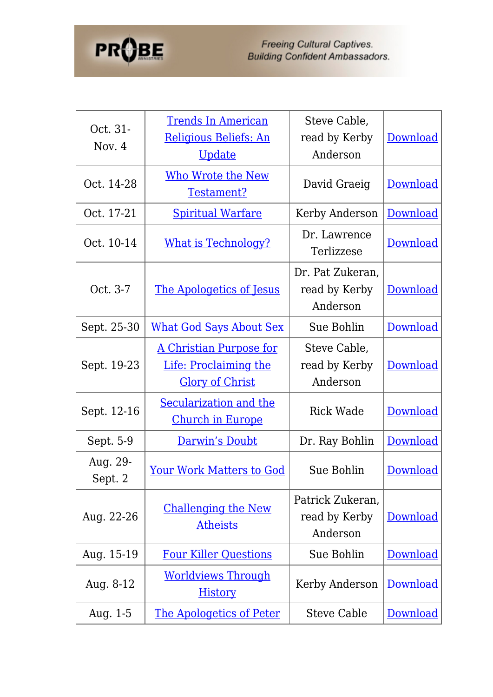

| Oct. 31-<br>Nov. $4$ | <b>Trends In American</b><br>Religious Beliefs: An<br><u>Update</u>        | Steve Cable,<br>read by Kerby<br>Anderson     | Download        |
|----------------------|----------------------------------------------------------------------------|-----------------------------------------------|-----------------|
| Oct. 14-28           | <b>Who Wrote the New</b><br>Testament?                                     | David Graeig                                  | Download        |
| Oct. 17-21           | <b>Spiritual Warfare</b>                                                   | Kerby Anderson                                | <b>Download</b> |
| Oct. 10-14           | <b>What is Technology?</b>                                                 | Dr. Lawrence<br>Terlizzese                    | Download        |
| Oct. 3-7             | The Apologetics of Jesus                                                   | Dr. Pat Zukeran,<br>read by Kerby<br>Anderson | Download        |
| Sept. 25-30          | <b>What God Says About Sex</b>                                             | Sue Bohlin                                    | Download        |
| Sept. 19-23          | A Christian Purpose for<br>Life: Proclaiming the<br><b>Glory of Christ</b> | Steve Cable,<br>read by Kerby<br>Anderson     | Download        |
| Sept. 12-16          | Secularization and the<br><b>Church in Europe</b>                          | <b>Rick Wade</b>                              | Download        |
| Sept. 5-9            | Darwin's Doubt                                                             | Dr. Ray Bohlin                                | <b>Download</b> |
| Aug. 29-<br>Sept. 2  | <u>Your Work Matters to God</u>                                            | Sue Bohlin                                    | Download        |
| Aug. 22-26           | <b>Challenging the New</b><br><b>Atheists</b>                              | Patrick Zukeran,<br>read by Kerby<br>Anderson | <b>Download</b> |
| Aug. 15-19           | <b>Four Killer Questions</b>                                               | Sue Bohlin                                    | Download        |
| Aug. 8-12            | <b>Worldviews Through</b><br><b>History</b>                                | Kerby Anderson                                | Download        |
| Aug. $1-5$           | <b>The Apologetics of Peter</b>                                            | <b>Steve Cable</b>                            | Download        |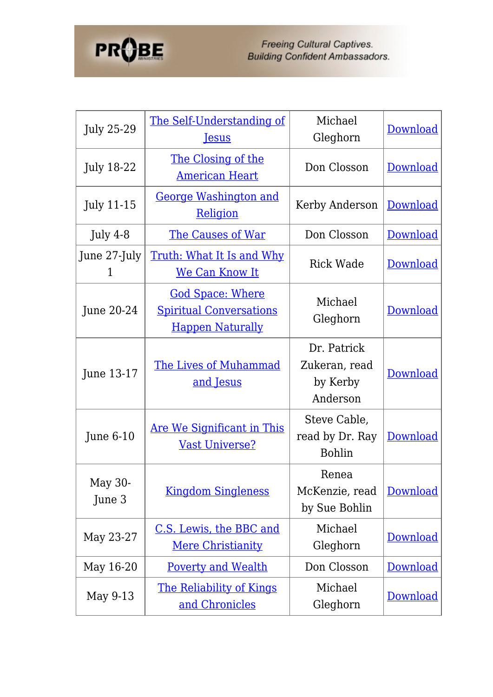

Freeing Cultural Captives.<br>Building Confident Ambassadors.

| <b>July 25-29</b> | The Self-Understanding of<br><b>Jesus</b>                                            | Michael<br>Gleghorn                                  | Download        |
|-------------------|--------------------------------------------------------------------------------------|------------------------------------------------------|-----------------|
| <b>July 18-22</b> | The Closing of the<br><b>American Heart</b>                                          | Don Closson                                          | Download        |
| <b>July 11-15</b> | <b>George Washington and</b><br>Religion                                             | Kerby Anderson                                       | <b>Download</b> |
| July 4-8          | The Causes of War                                                                    | Don Closson                                          | <b>Download</b> |
| June 27-July<br>1 | <u>Truth: What It Is and Why</u><br><u>We Can Know It</u>                            | <b>Rick Wade</b>                                     | <b>Download</b> |
| June 20-24        | <b>God Space: Where</b><br><b>Spiritual Conversations</b><br><b>Happen Naturally</b> | Michael<br>Gleghorn                                  | Download        |
| June 13-17        | <b>The Lives of Muhammad</b><br><u>and Jesus</u>                                     | Dr. Patrick<br>Zukeran, read<br>by Kerby<br>Anderson | Download        |
| June $6-10$       | <b>Are We Significant in This</b><br><b>Vast Universe?</b>                           | Steve Cable,<br>read by Dr. Ray<br><b>Bohlin</b>     | Download        |
| May 30-<br>June 3 | <b>Kingdom Singleness</b>                                                            | Renea<br>McKenzie, read<br>by Sue Bohlin             | Download        |
| May 23-27         | <u>C.S. Lewis, the BBC and</u><br><b>Mere Christianity</b>                           | Michael<br>Gleghorn                                  | Download        |
| May 16-20         | <b>Poverty and Wealth</b>                                                            | Don Closson                                          | <b>Download</b> |
| May 9-13          | The Reliability of Kings<br>and Chronicles                                           | Michael<br>Gleghorn                                  | <b>Download</b> |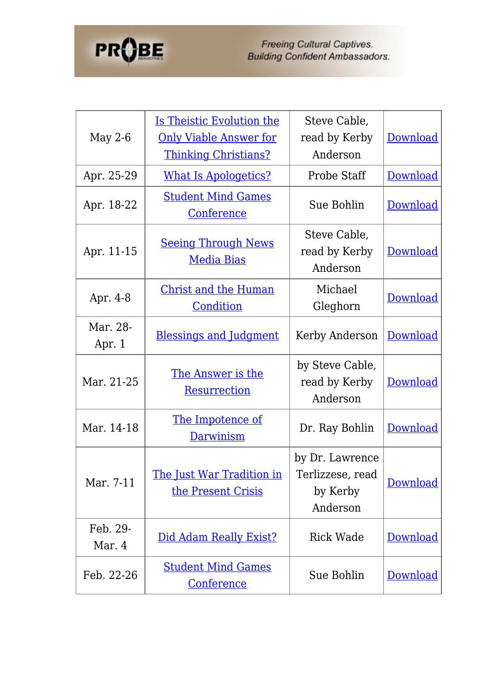

| May 2-6            | <b>Is Theistic Evolution the</b><br><b>Only Viable Answer for</b><br><b>Thinking Christians?</b> | Steve Cable,<br>read by Kerby<br>Anderson                   | Download        |
|--------------------|--------------------------------------------------------------------------------------------------|-------------------------------------------------------------|-----------------|
| Apr. 25-29         | <b>What Is Apologetics?</b>                                                                      | Probe Staff                                                 | <b>Download</b> |
| Apr. 18-22         | <b>Student Mind Games</b><br><b>Conference</b>                                                   | Sue Bohlin                                                  | Download        |
| Apr. 11-15         | <b>Seeing Through News</b><br><b>Media Bias</b>                                                  | Steve Cable,<br>read by Kerby<br>Anderson                   | Download        |
| Apr. 4-8           | <b>Christ and the Human</b><br>Condition                                                         | Michael<br>Gleghorn                                         | Download        |
| Mar. 28-<br>Apr. 1 | <b>Blessings and Judgment</b>                                                                    | Kerby Anderson                                              | Download        |
| Mar. 21-25         | The Answer is the<br><b>Resurrection</b>                                                         | by Steve Cable,<br>read by Kerby<br>Anderson                | <b>Download</b> |
| Mar. 14-18         | The Impotence of<br>Darwinism                                                                    | Dr. Ray Bohlin                                              | Download        |
| Mar. 7-11          | <u>The Just War Tradition in</u><br>the Present Crisis                                           | by Dr. Lawrence<br>Terlizzese, read<br>by Kerby<br>Anderson | Download        |
| Feb. 29-<br>Mar. 4 | Did Adam Really Exist?                                                                           | Rick Wade                                                   | <b>Download</b> |
| Feb. 22-26         | <b>Student Mind Games</b><br><b>Conference</b>                                                   | Sue Bohlin                                                  | Download        |